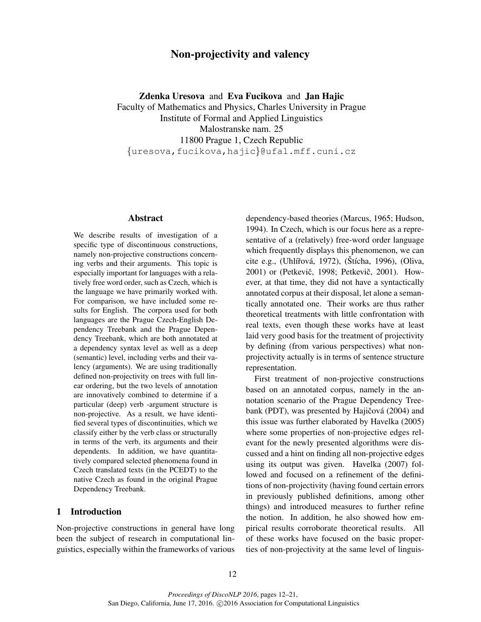# Non-projectivity and valency

Zdenka Uresova and Eva Fucikova and Jan Hajic

Faculty of Mathematics and Physics, Charles University in Prague Institute of Formal and Applied Linguistics Malostranske nam. 25 11800 Prague 1, Czech Republic {uresova,fucikova,hajic}@ufal.mff.cuni.cz

#### Abstract

We describe results of investigation of a specific type of discontinuous constructions, namely non-projective constructions concerning verbs and their arguments. This topic is especially important for languages with a relatively free word order, such as Czech, which is the language we have primarily worked with. For comparison, we have included some results for English. The corpora used for both languages are the Prague Czech-English Dependency Treebank and the Prague Dependency Treebank, which are both annotated at a dependency syntax level as well as a deep (semantic) level, including verbs and their valency (arguments). We are using traditionally defined non-projectivity on trees with full linear ordering, but the two levels of annotation are innovatively combined to determine if a particular (deep) verb -argument structure is non-projective. As a result, we have identified several types of discontinuities, which we classify either by the verb class or structurally in terms of the verb, its arguments and their dependents. In addition, we have quantitatively compared selected phenomena found in Czech translated texts (in the PCEDT) to the native Czech as found in the original Prague Dependency Treebank.

### 1 Introduction

Non-projective constructions in general have long been the subject of research in computational linguistics, especially within the frameworks of various dependency-based theories (Marcus, 1965; Hudson, 1994). In Czech, which is our focus here as a representative of a (relatively) free-word order language which frequently displays this phenomenon, we can cite e.g., (Uhlířová, 1972), (Štícha, 1996), (Oliva, 2001) or (Petkevič, 1998; Petkevič, 2001). However, at that time, they did not have a syntactically annotated corpus at their disposal, let alone a semantically annotated one. Their works are thus rather theoretical treatments with little confrontation with real texts, even though these works have at least laid very good basis for the treatment of projectivity by defining (from various perspectives) what nonprojectivity actually is in terms of sentence structure representation.

First treatment of non-projective constructions based on an annotated corpus, namely in the annotation scenario of the Prague Dependency Treebank (PDT), was presented by Hajičová (2004) and this issue was further elaborated by Havelka (2005) where some properties of non-projective edges relevant for the newly presented algorithms were discussed and a hint on finding all non-projective edges using its output was given. Havelka (2007) followed and focused on a refinement of the definitions of non-projectivity (having found certain errors in previously published definitions, among other things) and introduced measures to further refine the notion. In addition, he also showed how empirical results corroborate theoretical results. All of these works have focused on the basic properties of non-projectivity at the same level of linguis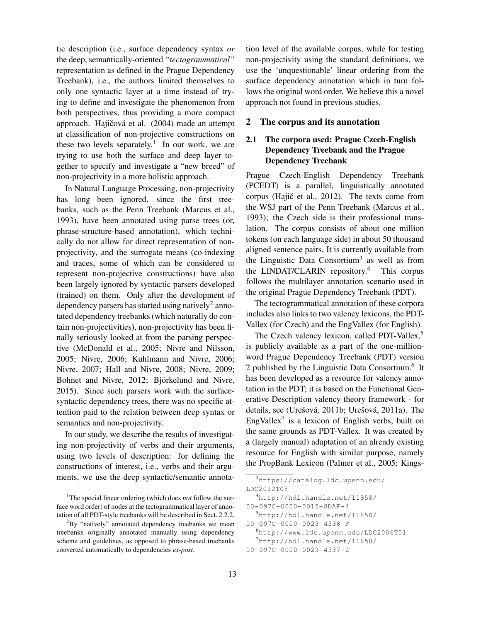tic description (i.e., surface dependency syntax *or* the deep, semantically-oriented *"tectogrammatical"* representation as defined in the Prague Dependency Treebank), i.e., the authors limited themselves to only one syntactic layer at a time instead of trying to define and investigate the phenomenon from both perspectives, thus providing a more compact approach. Hajičová et al. (2004) made an attempt at classification of non-projective constructions on these two levels separately.<sup>1</sup> In our work, we are trying to use both the surface and deep layer together to specify and investigate a "new breed" of non-projectivity in a more holistic approach.

In Natural Language Processing, non-projectivity has long been ignored, since the first treebanks, such as the Penn Treebank (Marcus et al., 1993), have been annotated using parse trees (or, phrase-structure-based annotation), which technically do not allow for direct representation of nonprojectivity, and the surrogate means (co-indexing and traces, some of which can be considered to represent non-projective constructions) have also been largely ignored by syntactic parsers developed (trained) on them. Only after the development of dependency parsers has started using natively<sup>2</sup> annotated dependency treebanks (which naturally do contain non-projectivities), non-projectivity has been finally seriously looked at from the parsing perspective (McDonald et al., 2005; Nivre and Nilsson, 2005; Nivre, 2006; Kuhlmann and Nivre, 2006; Nivre, 2007; Hall and Nivre, 2008; Nivre, 2009; Bohnet and Nivre, 2012; Björkelund and Nivre, 2015). Since such parsers work with the surfacesyntactic dependency trees, there was no specific attention paid to the relation between deep syntax or semantics and non-projectivity.

In our study, we describe the results of investigating non-projectivity of verbs and their arguments, using two levels of description: for defining the constructions of interest, i.e., verbs and their arguments, we use the deep syntactic/semantic annotation level of the available corpus, while for testing non-projectivity using the standard definitions, we use the 'unquestionable' linear ordering from the surface dependency annotation which in turn follows the original word order. We believe this a novel approach not found in previous studies.

#### 2 The corpus and its annotation

# 2.1 The corpora used: Prague Czech-English Dependency Treebank and the Prague Dependency Treebank

Prague Czech-English Dependency Treebank (PCEDT) is a parallel, linguistically annotated corpus (Hajič et al., 2012). The texts come from the WSJ part of the Penn Treebank (Marcus et al., 1993); the Czech side is their professional translation. The corpus consists of about one million tokens (on each language side) in about 50 thousand aligned sentence pairs. It is currently available from the Linguistic Data Consortium<sup>3</sup> as well as from the LINDAT/CLARIN repository.<sup>4</sup> This corpus follows the multilayer annotation scenario used in the original Prague Dependency Treebank (PDT).

The tectogrammatical annotation of these corpora includes also links to two valency lexicons, the PDT-Vallex (for Czech) and the EngVallex (for English).

The Czech valency lexicon, called PDT-Vallex,<sup>5</sup> is publicly available as a part of the one-millionword Prague Dependency Treebank (PDT) version 2 published by the Linguistic Data Consortium.<sup>6</sup> It has been developed as a resource for valency annotation in the PDT; it is based on the Functional Generative Description valency theory framework - for details, see (Urešová, 2011b; Urešová, 2011a). The EngVallex<sup>7</sup> is a lexicon of English verbs, built on the same grounds as PDT-Vallex. It was created by a (largely manual) adaptation of an already existing resource for English with similar purpose, namely the PropBank Lexicon (Palmer et al., 2005; Kings-

<sup>&</sup>lt;sup>1</sup>The special linear ordering (which does *not* follow the surface word order) of nodes at the tectogrammatical layer of annotation of all PDT-style treebanks will be described in Sect. 2.2.2.

<sup>&</sup>lt;sup>2</sup>By "natively" annotated dependency treebanks we mean treebanks originally annotated manually using dependency scheme and guidelines, as opposed to phrase-based treebanks converted automatically to dependencies *ex-post*.

<sup>3</sup>https://catalog.ldc.upenn.edu/ LDC2012T08

<sup>4</sup>http://hdl.handle.net/11858/

<sup>00-097</sup>C-0000-0015-8DAF-4

<sup>5</sup>http://hdl.handle.net/11858/

<sup>00-097</sup>C-0000-0023-4338-F

<sup>6</sup>http://www.ldc.upenn.edu/LDC2006T01

 $7$ http://hdl.handle.net/11858/

<sup>00-097</sup>C-0000-0023-4337-2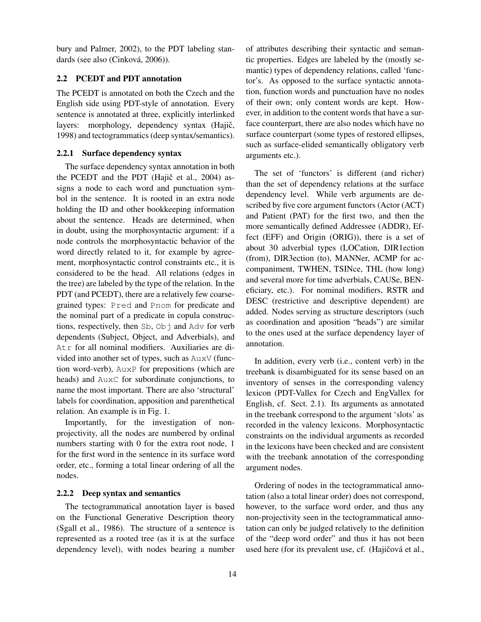bury and Palmer, 2002), to the PDT labeling standards (see also (Cinková, 2006)).

### 2.2 PCEDT and PDT annotation

The PCEDT is annotated on both the Czech and the English side using PDT-style of annotation. Every sentence is annotated at three, explicitly interlinked layers: morphology, dependency syntax (Hajič, 1998) and tectogrammatics (deep syntax/semantics).

#### 2.2.1 Surface dependency syntax

The surface dependency syntax annotation in both the PCEDT and the PDT (Hajič et al.,  $2004$ ) assigns a node to each word and punctuation symbol in the sentence. It is rooted in an extra node holding the ID and other bookkeeping information about the sentence. Heads are determined, when in doubt, using the morphosyntactic argument: if a node controls the morphosyntactic behavior of the word directly related to it, for example by agreement, morphosyntactic control constraints etc., it is considered to be the head. All relations (edges in the tree) are labeled by the type of the relation. In the PDT (and PCEDT), there are a relatively few coarsegrained types: Pred and Pnom for predicate and the nominal part of a predicate in copula constructions, respectively, then Sb, Obj and Adv for verb dependents (Subject, Object, and Adverbials), and Atr for all nominal modifiers. Auxiliaries are divided into another set of types, such as AuxV (function word-verb), AuxP for prepositions (which are heads) and AuxC for subordinate conjunctions, to name the most important. There are also 'structural' labels for coordination, apposition and parenthetical relation. An example is in Fig. 1.

Importantly, for the investigation of nonprojectivity, all the nodes are numbered by ordinal numbers starting with 0 for the extra root node, 1 for the first word in the sentence in its surface word order, etc., forming a total linear ordering of all the nodes.

#### 2.2.2 Deep syntax and semantics

The tectogrammatical annotation layer is based on the Functional Generative Description theory (Sgall et al., 1986). The structure of a sentence is represented as a rooted tree (as it is at the surface dependency level), with nodes bearing a number of attributes describing their syntactic and semantic properties. Edges are labeled by the (mostly semantic) types of dependency relations, called 'functor's. As opposed to the surface syntactic annotation, function words and punctuation have no nodes of their own; only content words are kept. However, in addition to the content words that have a surface counterpart, there are also nodes which have no surface counterpart (some types of restored ellipses, such as surface-elided semantically obligatory verb arguments etc.).

The set of 'functors' is different (and richer) than the set of dependency relations at the surface dependency level. While verb arguments are described by five core argument functors (Actor (ACT) and Patient (PAT) for the first two, and then the more semantically defined Addressee (ADDR), Effect (EFF) and Origin (ORIG)), there is a set of about 30 adverbial types (LOCation, DIR1ection (from), DIR3ection (to), MANNer, ACMP for accompaniment, TWHEN, TSINce, THL (how long) and several more for time adverbials, CAUSe, BENeficiary, etc.). For nominal modifiers, RSTR and DESC (restrictive and descriptive dependent) are added. Nodes serving as structure descriptors (such as coordination and aposition "heads") are similar to the ones used at the surface dependency layer of annotation.

In addition, every verb (i.e., content verb) in the treebank is disambiguated for its sense based on an inventory of senses in the corresponding valency lexicon (PDT-Vallex for Czech and EngVallex for English, cf. Sect. 2.1). Its arguments as annotated in the treebank correspond to the argument 'slots' as recorded in the valency lexicons. Morphosyntactic constraints on the individual arguments as recorded in the lexicons have been checked and are consistent with the treebank annotation of the corresponding argument nodes.

Ordering of nodes in the tectogrammatical annotation (also a total linear order) does not correspond, however, to the surface word order, and thus any non-projectivity seen in the tectogrammatical annotation can only be judged relatively to the definition of the "deep word order" and thus it has not been used here (for its prevalent use, cf. (Hajičová et al.,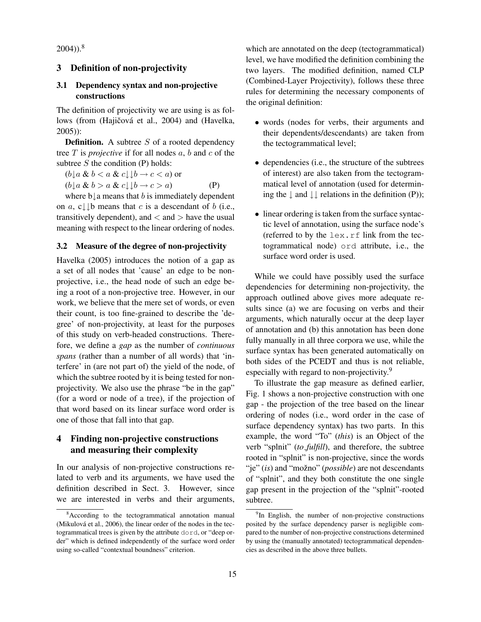$2004)$ ).<sup>8</sup>

#### 3 Definition of non-projectivity

### 3.1 Dependency syntax and non-projective constructions

The definition of projectivity we are using is as follows (from (Hajičová et al., 2004) and (Havelka, 2005)):

**Definition.** A subtree  $S$  of a rooted dependency tree  $T$  is *projective* if for all nodes  $a$ ,  $b$  and  $c$  of the subtree  $S$  the condition  $(P)$  holds:

 $(b \rvert a \& b < a \& c \rvert \rvert b \rightarrow c < a)$  or  $(b \downarrow a \& b > a \& c \downarrow \downarrow b \rightarrow c > a)$  (P)

where  $b\downarrow a$  means that b is immediately dependent on a, c $\downarrow \downarrow$ b means that c is a descendant of b (i.e., transitively dependent), and  $\langle$  and  $\rangle$  have the usual meaning with respect to the linear ordering of nodes.

#### 3.2 Measure of the degree of non-projectivity

Havelka (2005) introduces the notion of a gap as a set of all nodes that 'cause' an edge to be nonprojective, i.e., the head node of such an edge being a root of a non-projective tree. However, in our work, we believe that the mere set of words, or even their count, is too fine-grained to describe the 'degree' of non-projectivity, at least for the purposes of this study on verb-headed constructions. Therefore, we define a *gap* as the number of *continuous spans* (rather than a number of all words) that 'interfere' in (are not part of) the yield of the node, of which the subtree rooted by it is being tested for nonprojectivity. We also use the phrase "be in the gap" (for a word or node of a tree), if the projection of that word based on its linear surface word order is one of those that fall into that gap.

# 4 Finding non-projective constructions and measuring their complexity

In our analysis of non-projective constructions related to verb and its arguments, we have used the definition described in Sect. 3. However, since we are interested in verbs and their arguments, which are annotated on the deep (tectogrammatical) level, we have modified the definition combining the two layers. The modified definition, named CLP (Combined-Layer Projectivity), follows these three rules for determining the necessary components of the original definition:

- words (nodes for verbs, their arguments and their dependents/descendants) are taken from the tectogrammatical level;
- dependencies (i.e., the structure of the subtrees of interest) are also taken from the tectogrammatical level of annotation (used for determining the  $\downarrow$  and  $\downarrow \downarrow$  relations in the definition (P));
- linear ordering is taken from the surface syntactic level of annotation, using the surface node's (referred to by the  $lex.rf$  link from the tectogrammatical node) ord attribute, i.e., the surface word order is used.

While we could have possibly used the surface dependencies for determining non-projectivity, the approach outlined above gives more adequate results since (a) we are focusing on verbs and their arguments, which naturally occur at the deep layer of annotation and (b) this annotation has been done fully manually in all three corpora we use, while the surface syntax has been generated automatically on both sides of the PCEDT and thus is not reliable, especially with regard to non-projectivity.<sup>9</sup>

To illustrate the gap measure as defined earlier, Fig. 1 shows a non-projective construction with one gap - the projection of the tree based on the linear ordering of nodes (i.e., word order in the case of surface dependency syntax) has two parts. In this example, the word "To" (*this*) is an Object of the verb "splnit" (*to\_fulfill*), and therefore, the subtree rooted in "splnit" is non-projective, since the words "je" (*is*) and "možno" (*possible*) are not descendants of "splnit", and they both constitute the one single gap present in the projection of the "splnit"-rooted subtree.

<sup>&</sup>lt;sup>8</sup>According to the tectogrammatical annotation manual (Mikulová et al., 2006), the linear order of the nodes in the tectogrammatical trees is given by the attribute dord, or "deep order" which is defined independently of the surface word order using so-called "contextual boundness" criterion.

<sup>&</sup>lt;sup>9</sup>In English, the number of non-projective constructions posited by the surface dependency parser is negligible compared to the number of non-projective constructions determined by using the (manually annotated) tectogrammatical dependencies as described in the above three bullets.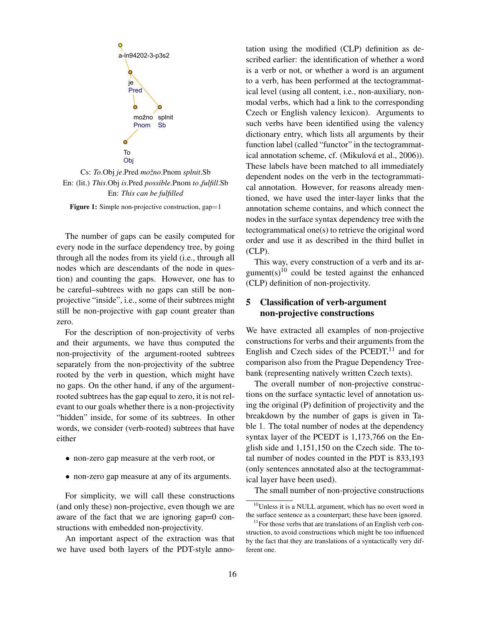

Cs: *To*.Obj *je*.Pred *mozno ˇ* .Pnom *splnit*.Sb En: (lit.) *This*.Obj *is*.Pred *possible*.Pnom *to fulfill*.Sb En: *This can be fulfilled*

Figure 1: Simple non-projective construction, gap=1

The number of gaps can be easily computed for every node in the surface dependency tree, by going through all the nodes from its yield (i.e., through all nodes which are descendants of the node in question) and counting the gaps. However, one has to be careful–subtrees with no gaps can still be nonprojective "inside", i.e., some of their subtrees might still be non-projective with gap count greater than zero.

For the description of non-projectivity of verbs and their arguments, we have thus computed the non-projectivity of the argument-rooted subtrees separately from the non-projectivity of the subtree rooted by the verb in question, which might have no gaps. On the other hand, if any of the argumentrooted subtrees has the gap equal to zero, it is not relevant to our goals whether there is a non-projectivity "hidden" inside, for some of its subtrees. In other words, we consider (verb-rooted) subtrees that have either

- non-zero gap measure at the verb root, or
- non-zero gap measure at any of its arguments.

For simplicity, we will call these constructions (and only these) non-projective, even though we are aware of the fact that we are ignoring gap=0 constructions with embedded non-projectivity.

An important aspect of the extraction was that we have used both layers of the PDT-style annotation using the modified (CLP) definition as described earlier: the identification of whether a word is a verb or not, or whether a word is an argument to a verb, has been performed at the tectogrammatical level (using all content, i.e., non-auxiliary, nonmodal verbs, which had a link to the corresponding Czech or English valency lexicon). Arguments to such verbs have been identified using the valency dictionary entry, which lists all arguments by their function label (called "functor" in the tectogrammatical annotation scheme, cf. (Mikulová et al., 2006)). These labels have been matched to all immediately dependent nodes on the verb in the tectogrammatical annotation. However, for reasons already mentioned, we have used the inter-layer links that the annotation scheme contains, and which connect the nodes in the surface syntax dependency tree with the tectogrammatical one(s) to retrieve the original word order and use it as described in the third bullet in (CLP).

This way, every construction of a verb and its argument(s)<sup>10</sup> could be tested against the enhanced (CLP) definition of non-projectivity.

# 5 Classification of verb-argument non-projective constructions

We have extracted all examples of non-projective constructions for verbs and their arguments from the English and Czech sides of the PCEDT, $11$  and for comparison also from the Prague Dependency Treebank (representing natively written Czech texts).

The overall number of non-projective constructions on the surface syntactic level of annotation using the original (P) definition of projectivity and the breakdown by the number of gaps is given in Table 1. The total number of nodes at the dependency syntax layer of the PCEDT is 1,173,766 on the English side and 1,151,150 on the Czech side. The total number of nodes counted in the PDT is 833,193 (only sentences annotated also at the tectogrammatical layer have been used).

The small number of non-projective constructions

<sup>10</sup>Unless it is a NULL argument, which has no overt word in the surface sentence as a counterpart; these have been ignored.

 $11$  For those verbs that are translations of an English verb construction, to avoid constructions which might be too influenced by the fact that they are translations of a syntactically very different one.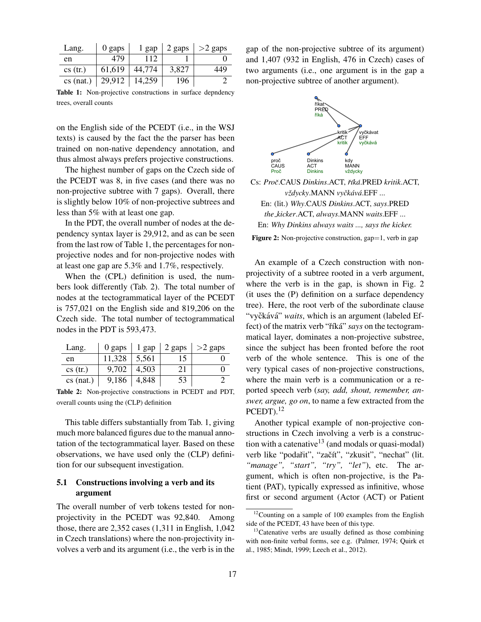| Lang.       | 0 gaps | 1 gap  | 2 gaps | $>2$ gaps |
|-------------|--------|--------|--------|-----------|
| en          | 479    | 112    |        |           |
| cs (tr.)    | 61,619 | 44,774 | 3,827  | 449       |
| $cs$ (nat.) | 29,912 | 14,259 | 196    |           |

Table 1: Non-projective constructions in surface depndency trees, overall counts

on the English side of the PCEDT (i.e., in the WSJ texts) is caused by the fact the the parser has been trained on non-native dependency annotation, and thus almost always prefers projective constructions.

The highest number of gaps on the Czech side of the PCEDT was 8, in five cases (and there was no non-projective subtree with 7 gaps). Overall, there is slightly below 10% of non-projective subtrees and less than 5% with at least one gap.

In the PDT, the overall number of nodes at the dependency syntax layer is 29,912, and as can be seen from the last row of Table 1, the percentages for nonprojective nodes and for non-projective nodes with at least one gap are 5.3% and 1.7%, respectively.

When the (CPL) definition is used, the numbers look differently (Tab. 2). The total number of nodes at the tectogrammatical layer of the PCEDT is 757,021 on the English side and 819,206 on the Czech side. The total number of tectogrammatical nodes in the PDT is 593,473.

| Lang.       | 0 gaps | 1 gap | 2 gaps | $>2$ gaps |
|-------------|--------|-------|--------|-----------|
| en          | 11,328 | 5.561 | 15     |           |
| cs (tr.)    | 9,702  | 4.503 | 21     |           |
| $cs$ (nat.) | 9,186  | 4,848 | 53     |           |

Table 2: Non-projective constructions in PCEDT and PDT, overall counts using the (CLP) definition

This table differs substantially from Tab. 1, giving much more balanced figures due to the manual annotation of the tectogrammatical layer. Based on these observations, we have used only the (CLP) definition for our subsequent investigation.

### 5.1 Constructions involving a verb and its argument

The overall number of verb tokens tested for nonprojectivity in the PCEDT was 92,840. Among those, there are 2,352 cases (1,311 in English, 1,042 in Czech translations) where the non-projectivity involves a verb and its argument (i.e., the verb is in the gap of the non-projective subtree of its argument) and 1,407 (932 in English, 476 in Czech) cases of two arguments (i.e., one argument is in the gap a non-projective subtree of another argument).



Cs: *Procˇ*.CAUS *Dinkins*.ACT, *rˇ´ıka´*.PRED *kritik*.ACT, *vzdycky ˇ* .MANN *vyckˇ av´ a´*.EFF ... En: (lit.) *Why*.CAUS *Dinkins*.ACT, *says*.PRED *the kicker*.ACT, *always*.MANN *waits*.EFF ... En: *Why Dinkins always waits ..., says the kicker.* Figure 2: Non-projective construction, gap=1, verb in gap

An example of a Czech construction with nonprojectivity of a subtree rooted in a verb argument, where the verb is in the gap, is shown in Fig. 2 (it uses the (P) definition on a surface dependency tree). Here, the root verb of the subordinate clause "vyčkává" *waits*, which is an argument (labeled Effect) of the matrix verb "říká" *says* on the tectogrammatical layer, dominates a non-projective substree, since the subject has been fronted before the root verb of the whole sentence. This is one of the very typical cases of non-projective constructions, where the main verb is a communication or a reported speech verb (*say, add, shout, remember, answer, argue, go on*, to name a few extracted from the  $P$ CEDT $)$ .<sup>12</sup>

Another typical example of non-projective constructions in Czech involving a verb is a construction with a catenative<sup>13</sup> (and modals or quasi-modal) verb like "podařit", "začít", "zkusit", "nechat" (lit. *"manage", "start", "try", "let"*), etc. The argument, which is often non-projective, is the Patient (PAT), typically expressed as infinitive, whose first or second argument (Actor (ACT) or Patient

<sup>&</sup>lt;sup>12</sup>Counting on a sample of 100 examples from the English side of the PCEDT, 43 have been of this type.

 $13$ Catenative verbs are usually defined as those combining with non-finite verbal forms, see e.g. (Palmer, 1974; Quirk et al., 1985; Mindt, 1999; Leech et al., 2012).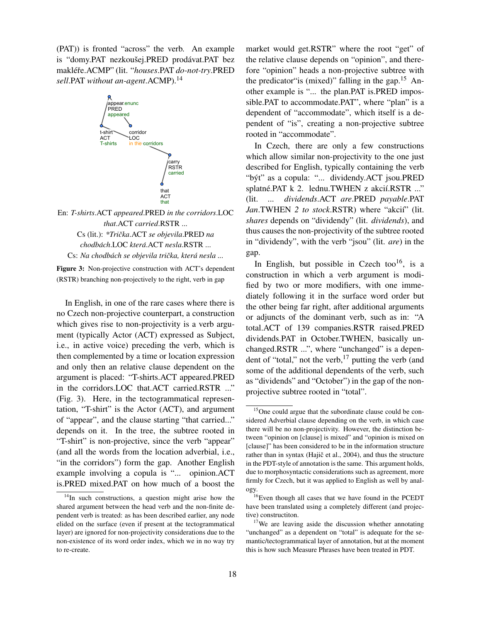(PAT)) is fronted "across" the verb. An example is "domy.PAT nezkoušej.PRED prodávat.PAT bez makléře.ACMP" (lit. "houses.PAT do-not-try.PRED *sell*.PAT *without an-agent*.ACMP).<sup>14</sup>





Figure 3: Non-projective construction with ACT's dependent (RSTR) branching non-projectively to the right, verb in gap

In English, in one of the rare cases where there is no Czech non-projective counterpart, a construction which gives rise to non-projectivity is a verb argument (typically Actor (ACT) expressed as Subject, i.e., in active voice) preceding the verb, which is then complemented by a time or location expression and only then an relative clause dependent on the argument is placed: "T-shirts.ACT appeared.PRED in the corridors.LOC that.ACT carried.RSTR ..." (Fig. 3). Here, in the tectogrammatical representation, "T-shirt" is the Actor (ACT), and argument of "appear", and the clause starting "that carried..." depends on it. In the tree, the subtree rooted in "T-shirt" is non-projective, since the verb "appear" (and all the words from the location adverbial, i.e., "in the corridors") form the gap. Another English example involving a copula is "... opinion.ACT is.PRED mixed.PAT on how much of a boost the

market would get.RSTR" where the root "get" of the relative clause depends on "opinion", and therefore "opinion" heads a non-projective subtree with the predicator is (mixed)" falling in the gap.<sup>15</sup> Another example is "... the plan.PAT is.PRED impossible.PAT to accommodate.PAT", where "plan" is a dependent of "accommodate", which itself is a dependent of "is", creating a non-projective subtree rooted in "accommodate".

In Czech, there are only a few constructions which allow similar non-projectivity to the one just described for English, typically containing the verb "byt" as a copula: "... dividendy.ACT jsou.PRED ´ splatné.PAT k 2. lednu.TWHEN z akcií.RSTR ..." (lit. *... dividends*.ACT *are*.PRED *payable*.PAT *Jan*.TWHEN 2 to stock.RSTR) where "akcii" (lit. *shares* depends on "dividendy" (lit. *dividends*), and thus causes the non-projectivity of the subtree rooted in "dividendy", with the verb "jsou" (lit. *are*) in the gap.

In English, but possible in Czech too<sup>16</sup>, is a construction in which a verb argument is modified by two or more modifiers, with one immediately following it in the surface word order but the other being far right, after additional arguments or adjuncts of the dominant verb, such as in: "A total.ACT of 139 companies.RSTR raised.PRED dividends.PAT in October.TWHEN, basically unchanged.RSTR ...", where "unchanged" is a dependent of "total," not the verb, $17$  putting the verb (and some of the additional dependents of the verb, such as "dividends" and "October") in the gap of the nonprojective subtree rooted in "total".

 $14$ In such constructions, a question might arise how the shared argument between the head verb and the non-finite dependent verb is treated: as has been described earlier, any node elided on the surface (even if present at the tectogrammatical layer) are ignored for non-projectivity considerations due to the non-existence of its word order index, which we in no way try to re-create.

<sup>15</sup>One could argue that the subordinate clause could be considered Adverbial clause depending on the verb, in which case there will be no non-projectivity. However, the distinction between "opinion on [clause] is mixed" and "opinion is mixed on [clause]" has been considered to be in the information structure rather than in syntax (Hajič et al., 2004), and thus the structure in the PDT-style of annotation is the same. This argument holds, due to morphosyntactic considerations such as agreement, more firmly for Czech, but it was applied to English as well by analogy.

<sup>16</sup>Even though all cases that we have found in the PCEDT have been translated using a completely different (and projective) constructiton.

<sup>&</sup>lt;sup>17</sup>We are leaving aside the discussion whether annotating "unchanged" as a dependent on "total" is adequate for the semantic/tectogrammatical layer of annotation, but at the moment this is how such Measure Phrases have been treated in PDT.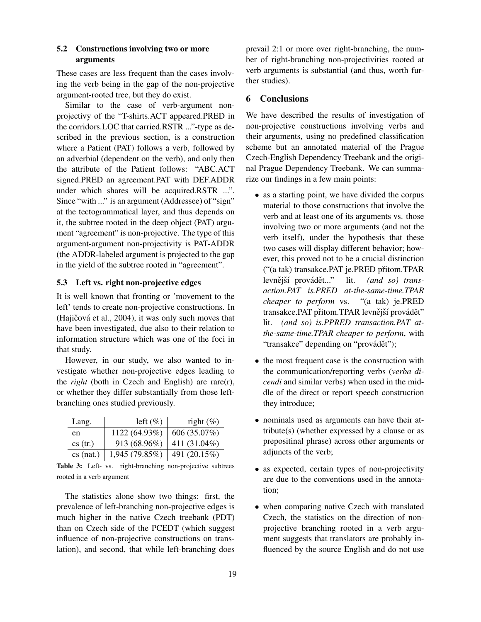# 5.2 Constructions involving two or more arguments

These cases are less frequent than the cases involving the verb being in the gap of the non-projective argument-rooted tree, but they do exist.

Similar to the case of verb-argument nonprojectivy of the "T-shirts.ACT appeared.PRED in the corridors.LOC that carried.RSTR ..."-type as described in the previous section, is a construction where a Patient (PAT) follows a verb, followed by an adverbial (dependent on the verb), and only then the attribute of the Patient follows: "ABC.ACT signed.PRED an agreement.PAT with DEF.ADDR under which shares will be acquired.RSTR ...". Since "with ..." is an argument (Addressee) of "sign" at the tectogrammatical layer, and thus depends on it, the subtree rooted in the deep object (PAT) argument "agreement" is non-projective. The type of this argument-argument non-projectivity is PAT-ADDR (the ADDR-labeled argument is projected to the gap in the yield of the subtree rooted in "agreement".

### 5.3 Left vs. right non-projective edges

It is well known that fronting or 'movement to the left' tends to create non-projective constructions. In (Hajičová et al., 2004), it was only such moves that have been investigated, due also to their relation to information structure which was one of the foci in that study.

However, in our study, we also wanted to investigate whether non-projective edges leading to the *right* (both in Czech and English) are rare(r), or whether they differ substantially from those leftbranching ones studied previously.

| Lang.       | left $(\%)$    | right $(\%)$ |
|-------------|----------------|--------------|
| en          | 1122 (64.93%)  | 606 (35.07%) |
| cs (tr.)    | 913 (68.96%)   | 411 (31.04%) |
| $cs$ (nat.) | 1,945 (79.85%) | 491 (20.15%) |

Table 3: Left- vs. right-branching non-projective subtrees rooted in a verb argument

The statistics alone show two things: first, the prevalence of left-branching non-projective edges is much higher in the native Czech treebank (PDT) than on Czech side of the PCEDT (which suggest influence of non-projective constructions on translation), and second, that while left-branching does prevail 2:1 or more over right-branching, the number of right-branching non-projectivities rooted at verb arguments is substantial (and thus, worth further studies).

## 6 Conclusions

We have described the results of investigation of non-projective constructions involving verbs and their arguments, using no predefined classification scheme but an annotated material of the Prague Czech-English Dependency Treebank and the original Prague Dependency Treebank. We can summarize our findings in a few main points:

- as a starting point, we have divided the corpus material to those constructions that involve the verb and at least one of its arguments vs. those involving two or more arguments (and not the verb itself), under the hypothesis that these two cases will display different behavior; however, this proved not to be a crucial distinction ("(a tak) transakce.PAT je.PRED přitom.TPAR levnější provádět..." lit. *(and so) transaction.PAT is.PRED at-the-same-time.TPAR cheaper to perform* vs. "(a tak) je.PRED transakce.PAT přitom.TPAR levnější provádět" lit. *(and so) is.PPRED transaction.PAT atthe-same-time.TPAR cheaper to perform*, with "transakce" depending on "provádět");
- the most frequent case is the construction with the communication/reporting verbs (*verba dicendi* and similar verbs) when used in the middle of the direct or report speech construction they introduce;
- nominals used as arguments can have their attribute(s) (whether expressed by a clause or as prepositinal phrase) across other arguments or adjuncts of the verb;
- as expected, certain types of non-projectivity are due to the conventions used in the annotation;
- when comparing native Czech with translated Czech, the statistics on the direction of nonprojective branching rooted in a verb argument suggests that translators are probably influenced by the source English and do not use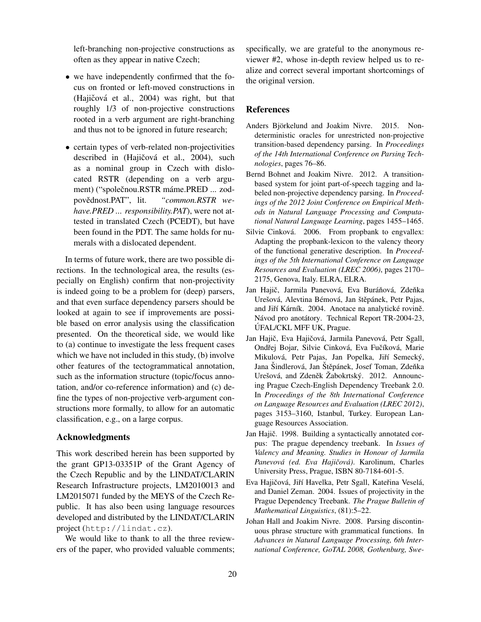left-branching non-projective constructions as often as they appear in native Czech;

- we have independently confirmed that the focus on fronted or left-moved constructions in (Hajičová et al.,  $2004$ ) was right, but that roughly 1/3 of non-projective constructions rooted in a verb argument are right-branching and thus not to be ignored in future research;
- certain types of verb-related non-projectivities described in (Hajičová et al., 2004), such as a nominal group in Czech with dislocated RSTR (depending on a verb argument) ("společnou.RSTR máme.PRED ... zodpovědnost.PAT", lit. "common.RSTR we*have.PRED ... responsibility.PAT*), were not attested in translated Czech (PCEDT), but have been found in the PDT. The same holds for numerals with a dislocated dependent.

In terms of future work, there are two possible directions. In the technological area, the results (especially on English) confirm that non-projectivity is indeed going to be a problem for (deep) parsers, and that even surface dependency parsers should be looked at again to see if improvements are possible based on error analysis using the classification presented. On the theoretical side, we would like to (a) continue to investigate the less frequent cases which we have not included in this study, (b) involve other features of the tectogrammatical annotation, such as the information structure (topic/focus annotation, and/or co-reference information) and (c) define the types of non-projective verb-argument constructions more formally, to allow for an automatic classification, e.g., on a large corpus.

## Acknowledgments

This work described herein has been supported by the grant GP13-03351P of the Grant Agency of the Czech Republic and by the LINDAT/CLARIN Research Infrastructure projects, LM2010013 and LM2015071 funded by the MEYS of the Czech Republic. It has also been using language resources developed and distributed by the LINDAT/CLARIN project (http://lindat.cz).

We would like to thank to all the three reviewers of the paper, who provided valuable comments; specifically, we are grateful to the anonymous reviewer #2, whose in-depth review helped us to realize and correct several important shortcomings of the original version.

#### References

- Anders Björkelund and Joakim Nivre. 2015. Nondeterministic oracles for unrestricted non-projective transition-based dependency parsing. In *Proceedings of the 14th International Conference on Parsing Technologies*, pages 76–86.
- Bernd Bohnet and Joakim Nivre. 2012. A transitionbased system for joint part-of-speech tagging and labeled non-projective dependency parsing. In *Proceedings of the 2012 Joint Conference on Empirical Methods in Natural Language Processing and Computational Natural Language Learning*, pages 1455–1465.
- Silvie Cinková. 2006. From propbank to engvallex: Adapting the propbank-lexicon to the valency theory of the functional generative description. In *Proceedings of the 5th International Conference on Language Resources and Evaluation (LREC 2006)*, pages 2170– 2175, Genova, Italy. ELRA, ELRA.
- Jan Hajič, Jarmila Panevová, Eva Buráňová, Zdeňka Urešová, Alevtina Bémová, Jan štěpánek, Petr Pajas, and Jiří Kárník. 2004. Anotace na analytické rovině. Návod pro anotátory. Technical Report TR-2004-23, UFAL/CKL MFF UK, Prague. ´
- Jan Hajič, Eva Hajičová, Jarmila Panevová, Petr Sgall, Ondřej Bojar, Silvie Cinková, Eva Fučíková, Marie Mikulová, Petr Pajas, Jan Popelka, Jiří Semecký, Jana Šindlerová, Jan Štěpánek, Josef Toman, Zdeňka Urešová, and Zdeněk Žabokrtský. 2012. Announcing Prague Czech-English Dependency Treebank 2.0. In *Proceedings of the 8th International Conference on Language Resources and Evaluation (LREC 2012)*, pages 3153–3160, Istanbul, Turkey. European Language Resources Association.
- Jan Hajič. 1998. Building a syntactically annotated corpus: The prague dependency treebank. In *Issues of Valency and Meaning. Studies in Honour of Jarmila Panevova (ed. Eva Haji ´ cov ˇ a)´* . Karolinum, Charles University Press, Prague, ISBN 80-7184-601-5.
- Eva Hajičová, Jiří Havelka, Petr Sgall, Kateřina Veselá, and Daniel Zeman. 2004. Issues of projectivity in the Prague Dependency Treebank. *The Prague Bulletin of Mathematical Linguistics*, (81):5–22.
- Johan Hall and Joakim Nivre. 2008. Parsing discontinuous phrase structure with grammatical functions. In *Advances in Natural Language Processing, 6th International Conference, GoTAL 2008, Gothenburg, Swe-*